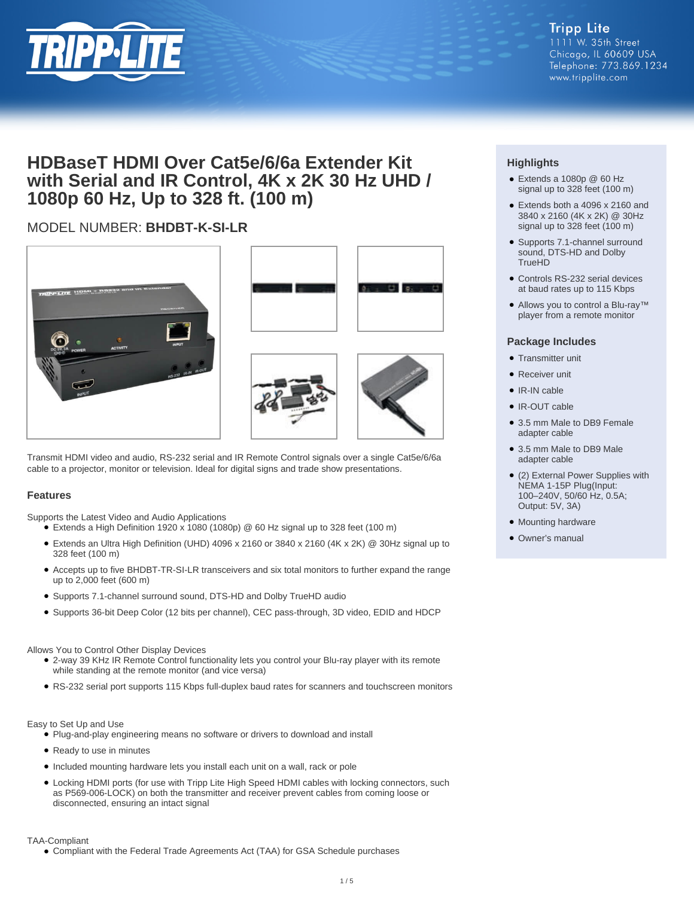

## **HDBaseT HDMI Over Cat5e/6/6a Extender Kit with Serial and IR Control, 4K x 2K 30 Hz UHD / 1080p 60 Hz, Up to 328 ft. (100 m)**

## MODEL NUMBER: **BHDBT-K-SI-LR**









Transmit HDMI video and audio, RS-232 serial and IR Remote Control signals over a single Cat5e/6/6a cable to a projector, monitor or television. Ideal for digital signs and trade show presentations.

#### **Features**

Supports the Latest Video and Audio Applications

- $\bullet$  Extends a High Definition 1920 x 1080 (1080p) @ 60 Hz signal up to 328 feet (100 m)
- Extends an Ultra High Definition (UHD) 4096 x 2160 or 3840 x 2160 (4K x 2K) @ 30Hz signal up to 328 feet (100 m)
- Accepts up to five BHDBT-TR-SI-LR transceivers and six total monitors to further expand the range up to 2,000 feet (600 m)
- Supports 7.1-channel surround sound, DTS-HD and Dolby TrueHD audio
- Supports 36-bit Deep Color (12 bits per channel), CEC pass-through, 3D video, EDID and HDCP

#### Allows You to Control Other Display Devices

- 2-way 39 KHz IR Remote Control functionality lets you control your Blu-ray player with its remote while standing at the remote monitor (and vice versa)
- RS-232 serial port supports 115 Kbps full-duplex baud rates for scanners and touchscreen monitors

#### Easy to Set Up and Use

- Plug-and-play engineering means no software or drivers to download and install
- Ready to use in minutes
- Included mounting hardware lets you install each unit on a wall, rack or pole
- Locking HDMI ports (for use with Tripp Lite High Speed HDMI cables with locking connectors, such as P569-006-LOCK) on both the transmitter and receiver prevent cables from coming loose or disconnected, ensuring an intact signal

#### TAA-Compliant

● Compliant with the Federal Trade Agreements Act (TAA) for GSA Schedule purchases

### **Highlights**

- Extends a 1080p @ 60 Hz signal up to 328 feet (100 m)
- Extends both a 4096 x 2160 and 3840 x 2160 (4K x 2K) @ 30Hz signal up to 328 feet (100 m)
- Supports 7.1-channel surround sound, DTS-HD and Dolby TrueHD
- Controls RS-232 serial devices at baud rates up to 115 Kbps
- Allows you to control a Blu-ray<sup>™</sup> player from a remote monitor

#### **Package Includes**

- Transmitter unit
- Receiver unit
- IR-IN cable
- IR-OUT cable
- 3.5 mm Male to DB9 Female adapter cable
- 3.5 mm Male to DB9 Male adapter cable
- (2) External Power Supplies with NEMA 1-15P Plug(Input: 100–240V, 50/60 Hz, 0.5A; Output: 5V, 3A)
- Mounting hardware
- Owner's manual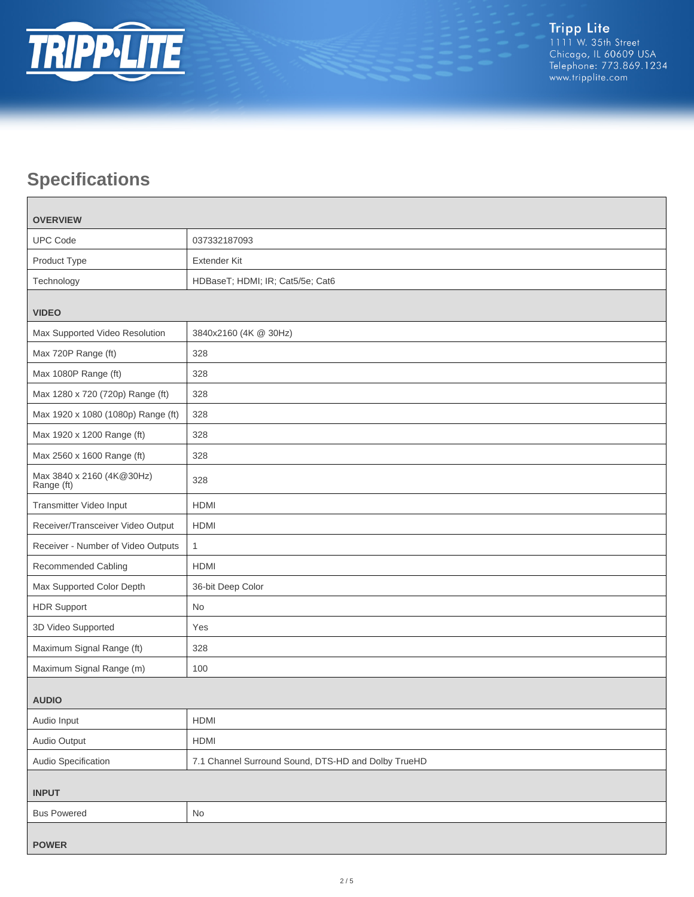

# **Specifications**

 $\blacksquare$ 

| <b>OVERVIEW</b>                         |                                                     |  |
|-----------------------------------------|-----------------------------------------------------|--|
| <b>UPC Code</b>                         | 037332187093                                        |  |
| Product Type                            | <b>Extender Kit</b>                                 |  |
| Technology                              | HDBaseT; HDMI; IR; Cat5/5e; Cat6                    |  |
| <b>VIDEO</b>                            |                                                     |  |
| Max Supported Video Resolution          | 3840x2160 (4K @ 30Hz)                               |  |
| Max 720P Range (ft)                     | 328                                                 |  |
| Max 1080P Range (ft)                    | 328                                                 |  |
| Max 1280 x 720 (720p) Range (ft)        | 328                                                 |  |
| Max 1920 x 1080 (1080p) Range (ft)      | 328                                                 |  |
| Max 1920 x 1200 Range (ft)              | 328                                                 |  |
| Max 2560 x 1600 Range (ft)              | 328                                                 |  |
| Max 3840 x 2160 (4K@30Hz)<br>Range (ft) | 328                                                 |  |
| Transmitter Video Input                 | <b>HDMI</b>                                         |  |
| Receiver/Transceiver Video Output       | <b>HDMI</b>                                         |  |
| Receiver - Number of Video Outputs      | $\mathbf{1}$                                        |  |
| Recommended Cabling                     | <b>HDMI</b>                                         |  |
| Max Supported Color Depth               | 36-bit Deep Color                                   |  |
| <b>HDR Support</b>                      | <b>No</b>                                           |  |
| 3D Video Supported                      | Yes                                                 |  |
| Maximum Signal Range (ft)               | 328                                                 |  |
| Maximum Signal Range (m)                | 100                                                 |  |
| <b>AUDIO</b>                            |                                                     |  |
| Audio Input                             | HDMI                                                |  |
| Audio Output                            | HDMI                                                |  |
| Audio Specification                     | 7.1 Channel Surround Sound, DTS-HD and Dolby TrueHD |  |
| <b>INPUT</b>                            |                                                     |  |
| <b>Bus Powered</b>                      | No                                                  |  |
| <b>POWER</b>                            |                                                     |  |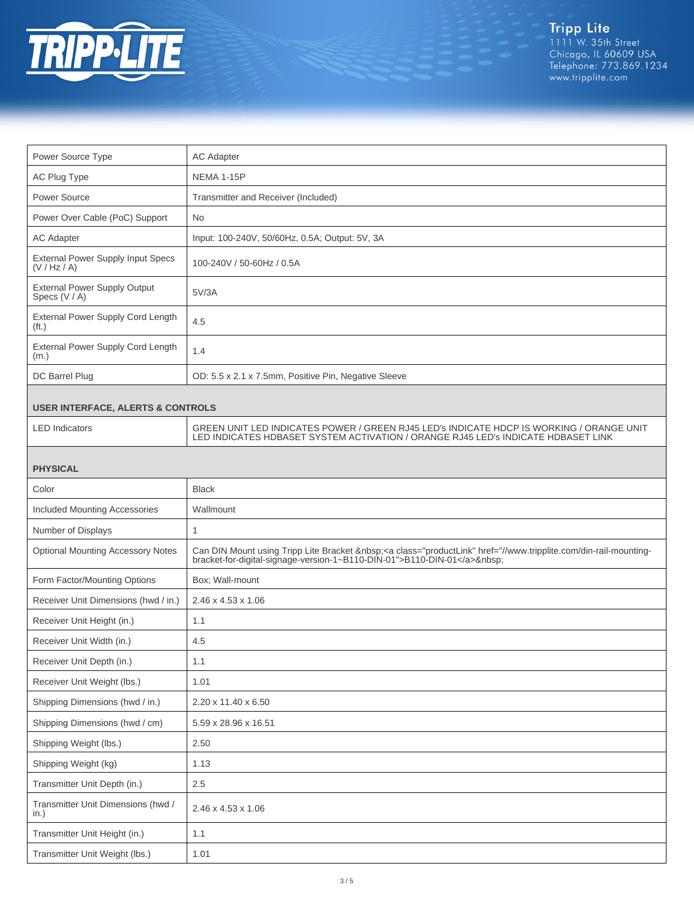

| Power Source Type                                      | <b>AC Adapter</b>                                                                                                                                                             |  |
|--------------------------------------------------------|-------------------------------------------------------------------------------------------------------------------------------------------------------------------------------|--|
| AC Plug Type                                           | <b>NEMA 1-15P</b>                                                                                                                                                             |  |
| Power Source                                           | Transmitter and Receiver (Included)                                                                                                                                           |  |
| Power Over Cable (PoC) Support                         | <b>No</b>                                                                                                                                                                     |  |
| <b>AC Adapter</b>                                      | Input: 100-240V, 50/60Hz, 0.5A; Output: 5V, 3A                                                                                                                                |  |
| External Power Supply Input Specs<br>(V / Hz / A)      | 100-240V / 50-60Hz / 0.5A                                                                                                                                                     |  |
| <b>External Power Supply Output</b><br>Specs (V / A)   | 5V/3A                                                                                                                                                                         |  |
| External Power Supply Cord Length<br>(f <sub>t</sub> ) | 4.5                                                                                                                                                                           |  |
| External Power Supply Cord Length<br>(m.)              | 1.4                                                                                                                                                                           |  |
| DC Barrel Plug                                         | OD: 5.5 x 2.1 x 7.5mm, Positive Pin, Negative Sleeve                                                                                                                          |  |
| <b>USER INTERFACE, ALERTS &amp; CONTROLS</b>           |                                                                                                                                                                               |  |
| <b>LED</b> Indicators                                  | GREEN UNIT LED INDICATES POWER / GREEN RJ45 LED'S INDICATE HDCP IS WORKING / ORANGE UNIT<br>LED INDICATES HDBASET SYSTEM ACTIVATION / ORANGE RJ45 LED's INDICATE HDBASET LINK |  |
| <b>PHYSICAL</b>                                        |                                                                                                                                                                               |  |
| Color                                                  | <b>Black</b>                                                                                                                                                                  |  |
| <b>Included Mounting Accessories</b>                   | Wallmount                                                                                                                                                                     |  |
| Number of Displays                                     | 1                                                                                                                                                                             |  |
| <b>Optional Mounting Accessory Notes</b>               | Can DIN Mount using Tripp Lite Bracket <a class="productLink" href="//www.tripplite.com/din-rail-mounting-bracket-for-digital-signage-version-1~B110-DIN-01">B110-DIN-01</a>  |  |
| Form Factor/Mounting Options                           | Box; Wall-mount                                                                                                                                                               |  |
| Receiver Unit Dimensions (hwd / in.)                   | 2.46 x 4.53 x 1.06                                                                                                                                                            |  |
| Receiver Unit Height (in.)                             | 1.1                                                                                                                                                                           |  |
| Receiver Unit Width (in.)                              | 4.5                                                                                                                                                                           |  |
| Receiver Unit Depth (in.)                              | 1.1                                                                                                                                                                           |  |
| Receiver Unit Weight (lbs.)                            | 1.01                                                                                                                                                                          |  |
| Shipping Dimensions (hwd / in.)                        | 2.20 x 11.40 x 6.50                                                                                                                                                           |  |
| Shipping Dimensions (hwd / cm)                         | 5.59 x 28.96 x 16.51                                                                                                                                                          |  |
| Shipping Weight (lbs.)                                 | 2.50                                                                                                                                                                          |  |
| Shipping Weight (kg)                                   | 1.13                                                                                                                                                                          |  |
| Transmitter Unit Depth (in.)                           | $2.5\,$                                                                                                                                                                       |  |
| Transmitter Unit Dimensions (hwd /<br>in.)             | 2.46 x 4.53 x 1.06                                                                                                                                                            |  |
| Transmitter Unit Height (in.)                          | 1.1                                                                                                                                                                           |  |
| Transmitter Unit Weight (lbs.)                         | 1.01                                                                                                                                                                          |  |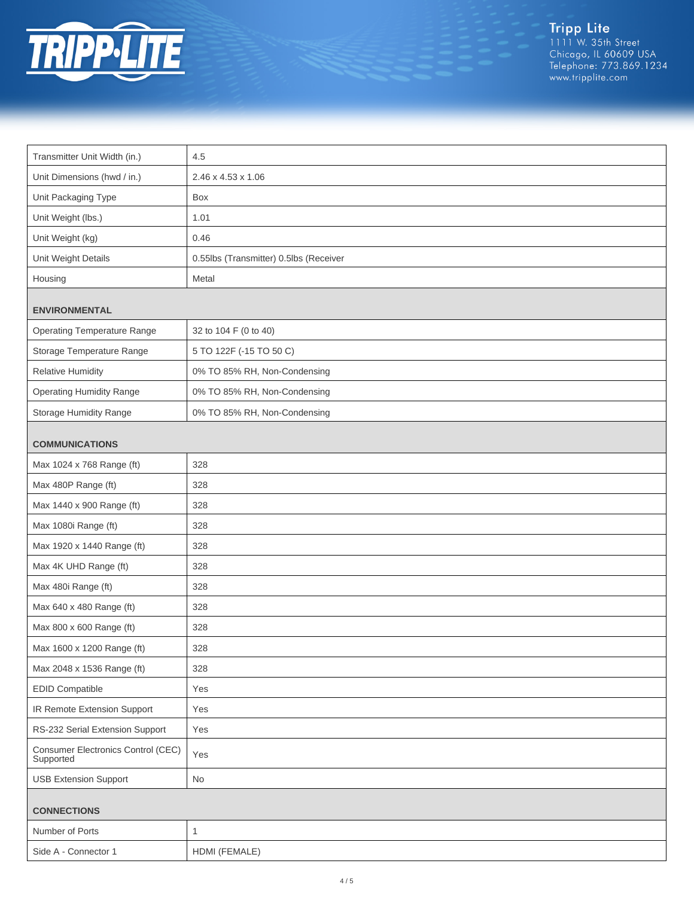

Tripp Lite<br>1111 W. 35th Street<br>Chicago, IL 60609 USA<br>Telephone: 773.869.1234<br>www.tripplite.com

| Transmitter Unit Width (in.)                    | 4.5                                    |  |
|-------------------------------------------------|----------------------------------------|--|
| Unit Dimensions (hwd / in.)                     | 2.46 x 4.53 x 1.06                     |  |
| Unit Packaging Type                             | Box                                    |  |
| Unit Weight (lbs.)                              | 1.01                                   |  |
| Unit Weight (kg)                                | 0.46                                   |  |
| Unit Weight Details                             | 0.55lbs (Transmitter) 0.5lbs (Receiver |  |
| Housing                                         | Metal                                  |  |
| <b>ENVIRONMENTAL</b>                            |                                        |  |
| <b>Operating Temperature Range</b>              | 32 to 104 F (0 to 40)                  |  |
| Storage Temperature Range                       | 5 TO 122F (-15 TO 50 C)                |  |
| <b>Relative Humidity</b>                        | 0% TO 85% RH, Non-Condensing           |  |
| <b>Operating Humidity Range</b>                 | 0% TO 85% RH, Non-Condensing           |  |
| <b>Storage Humidity Range</b>                   | 0% TO 85% RH, Non-Condensing           |  |
| <b>COMMUNICATIONS</b>                           |                                        |  |
| Max 1024 x 768 Range (ft)                       | 328                                    |  |
| Max 480P Range (ft)                             | 328                                    |  |
| Max 1440 x 900 Range (ft)                       | 328                                    |  |
| Max 1080i Range (ft)                            | 328                                    |  |
| Max 1920 x 1440 Range (ft)                      | 328                                    |  |
| Max 4K UHD Range (ft)                           | 328                                    |  |
| Max 480i Range (ft)                             | 328                                    |  |
| Max 640 x 480 Range (ft)                        | 328                                    |  |
| Max 800 x 600 Range (ft)                        | 328                                    |  |
| Max 1600 x 1200 Range (ft)                      | 328                                    |  |
| Max 2048 x 1536 Range (ft)                      | 328                                    |  |
| <b>EDID Compatible</b>                          | Yes                                    |  |
| IR Remote Extension Support                     | Yes                                    |  |
| RS-232 Serial Extension Support                 | Yes                                    |  |
| Consumer Electronics Control (CEC)<br>Supported | Yes                                    |  |
| <b>USB Extension Support</b>                    | No                                     |  |
| <b>CONNECTIONS</b>                              |                                        |  |
| Number of Ports                                 | $\mathbf{1}$                           |  |
| Side A - Connector 1                            | HDMI (FEMALE)                          |  |